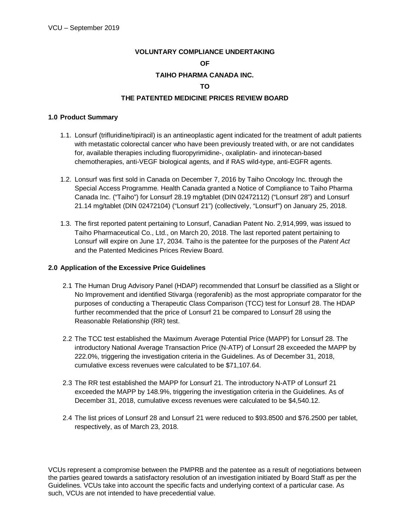# **VOLUNTARY COMPLIANCE UNDERTAKING OF TAIHO PHARMA CANADA INC. TO**

## **THE PATENTED MEDICINE PRICES REVIEW BOARD**

## **1.0 Product Summary**

- 1.1. Lonsurf (trifluridine/tipiracil) is an antineoplastic agent indicated for the treatment of adult patients with metastatic colorectal cancer who have been previously treated with, or are not candidates for, available therapies including fluoropyrimidine-, oxaliplatin- and irinotecan-based chemotherapies, anti-VEGF biological agents, and if RAS wild-type, anti-EGFR agents.
- 1.2. Lonsurf was first sold in Canada on December 7, 2016 by Taiho Oncology Inc. through the Special Access Programme. Health Canada granted a Notice of Compliance to Taiho Pharma Canada Inc. ("Taiho") for Lonsurf 28.19 mg/tablet (DIN 02472112) ("Lonsurf 28") and Lonsurf 21.14 mg/tablet (DIN 02472104) ("Lonsurf 21") (collectively, "Lonsurf") on January 25, 2018.
- 1.3. The first reported patent pertaining to Lonsurf, Canadian Patent No. 2,914,999, was issued to Taiho Pharmaceutical Co., Ltd., on March 20, 2018. The last reported patent pertaining to Lonsurf will expire on June 17, 2034. Taiho is the patentee for the purposes of the *Patent Act* and the Patented Medicines Prices Review Board.

#### **2.0 Application of the Excessive Price Guidelines**

- 2.1 The Human Drug Advisory Panel (HDAP) recommended that Lonsurf be classified as a Slight or No Improvement and identified Stivarga (regorafenib) as the most appropriate comparator for the purposes of conducting a Therapeutic Class Comparison (TCC) test for Lonsurf 28. The HDAP further recommended that the price of Lonsurf 21 be compared to Lonsurf 28 using the Reasonable Relationship (RR) test.
- 2.2 The TCC test established the Maximum Average Potential Price (MAPP) for Lonsurf 28. The introductory National Average Transaction Price (N-ATP) of Lonsurf 28 exceeded the MAPP by 222.0%, triggering the investigation criteria in the Guidelines. As of December 31, 2018, cumulative excess revenues were calculated to be \$71,107.64.
- 2.3 The RR test established the MAPP for Lonsurf 21. The introductory N-ATP of Lonsurf 21 exceeded the MAPP by 148.9%, triggering the investigation criteria in the Guidelines. As of December 31, 2018, cumulative excess revenues were calculated to be \$4,540.12.
- 2.4 The list prices of Lonsurf 28 and Lonsurf 21 were reduced to \$93.8500 and \$76.2500 per tablet, respectively, as of March 23, 2018.

VCUs represent a compromise between the PMPRB and the patentee as a result of negotiations between the parties geared towards a satisfactory resolution of an investigation initiated by Board Staff as per the Guidelines. VCUs take into account the specific facts and underlying context of a particular case. As such, VCUs are not intended to have precedential value.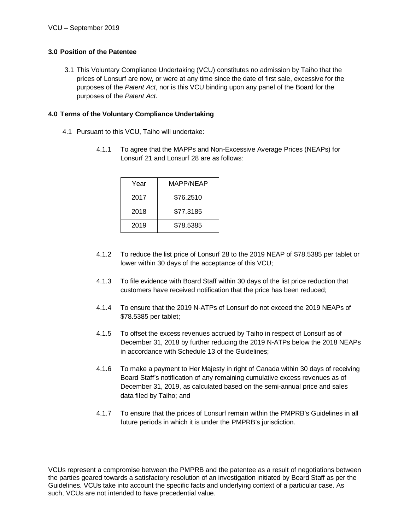# **3.0 Position of the Patentee**

3.1 This Voluntary Compliance Undertaking (VCU) constitutes no admission by Taiho that the prices of Lonsurf are now, or were at any time since the date of first sale, excessive for the purposes of the *Patent Act*, nor is this VCU binding upon any panel of the Board for the purposes of the *Patent Act*.

## **4.0 Terms of the Voluntary Compliance Undertaking**

- 4.1 Pursuant to this VCU, Taiho will undertake:
	- 4.1.1 To agree that the MAPPs and Non-Excessive Average Prices (NEAPs) for Lonsurf 21 and Lonsurf 28 are as follows:

| Year | MAPP/NEAP |
|------|-----------|
| 2017 | \$76.2510 |
| 2018 | \$77.3185 |
| 2019 | \$78.5385 |

- 4.1.2 To reduce the list price of Lonsurf 28 to the 2019 NEAP of \$78.5385 per tablet or lower within 30 days of the acceptance of this VCU;
- 4.1.3 To file evidence with Board Staff within 30 days of the list price reduction that customers have received notification that the price has been reduced;
- 4.1.4 To ensure that the 2019 N-ATPs of Lonsurf do not exceed the 2019 NEAPs of \$78.5385 per tablet;
- 4.1.5 To offset the excess revenues accrued by Taiho in respect of Lonsurf as of December 31, 2018 by further reducing the 2019 N-ATPs below the 2018 NEAPs in accordance with Schedule 13 of the Guidelines;
- 4.1.6 To make a payment to Her Majesty in right of Canada within 30 days of receiving Board Staff's notification of any remaining cumulative excess revenues as of December 31, 2019, as calculated based on the semi-annual price and sales data filed by Taiho; and
- 4.1.7 To ensure that the prices of Lonsurf remain within the PMPRB's Guidelines in all future periods in which it is under the PMPRB's jurisdiction.

VCUs represent a compromise between the PMPRB and the patentee as a result of negotiations between the parties geared towards a satisfactory resolution of an investigation initiated by Board Staff as per the Guidelines. VCUs take into account the specific facts and underlying context of a particular case. As such, VCUs are not intended to have precedential value.